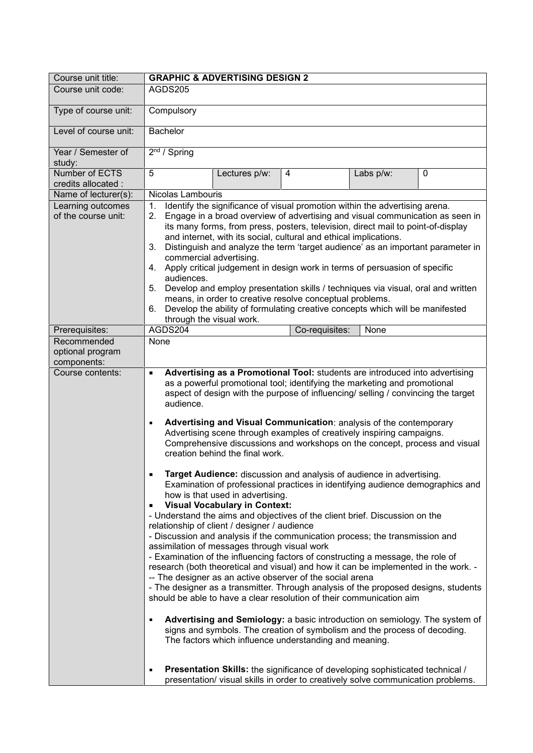| Course unit title:                             | <b>GRAPHIC &amp; ADVERTISING DESIGN 2</b>                                                                                                                                                                                                                                                                                                                                                                                                                                                                                                                                                                                                                                                                                                                                                                                                                                                                                                                                                                                                                                                                                                                                                                                                                                                                                                                                                                                                                                                                                                                                                                                                                                                                                                                                                                                                                                                |
|------------------------------------------------|------------------------------------------------------------------------------------------------------------------------------------------------------------------------------------------------------------------------------------------------------------------------------------------------------------------------------------------------------------------------------------------------------------------------------------------------------------------------------------------------------------------------------------------------------------------------------------------------------------------------------------------------------------------------------------------------------------------------------------------------------------------------------------------------------------------------------------------------------------------------------------------------------------------------------------------------------------------------------------------------------------------------------------------------------------------------------------------------------------------------------------------------------------------------------------------------------------------------------------------------------------------------------------------------------------------------------------------------------------------------------------------------------------------------------------------------------------------------------------------------------------------------------------------------------------------------------------------------------------------------------------------------------------------------------------------------------------------------------------------------------------------------------------------------------------------------------------------------------------------------------------------|
| Course unit code:                              | AGDS205                                                                                                                                                                                                                                                                                                                                                                                                                                                                                                                                                                                                                                                                                                                                                                                                                                                                                                                                                                                                                                                                                                                                                                                                                                                                                                                                                                                                                                                                                                                                                                                                                                                                                                                                                                                                                                                                                  |
| Type of course unit:                           | Compulsory                                                                                                                                                                                                                                                                                                                                                                                                                                                                                                                                                                                                                                                                                                                                                                                                                                                                                                                                                                                                                                                                                                                                                                                                                                                                                                                                                                                                                                                                                                                                                                                                                                                                                                                                                                                                                                                                               |
| Level of course unit:                          | <b>Bachelor</b>                                                                                                                                                                                                                                                                                                                                                                                                                                                                                                                                                                                                                                                                                                                                                                                                                                                                                                                                                                                                                                                                                                                                                                                                                                                                                                                                                                                                                                                                                                                                                                                                                                                                                                                                                                                                                                                                          |
| Year / Semester of<br>study:                   | $2nd$ / Spring                                                                                                                                                                                                                                                                                                                                                                                                                                                                                                                                                                                                                                                                                                                                                                                                                                                                                                                                                                                                                                                                                                                                                                                                                                                                                                                                                                                                                                                                                                                                                                                                                                                                                                                                                                                                                                                                           |
| Number of ECTS<br>credits allocated :          | 5<br>0<br>Lectures p/w:<br>4<br>Labs p/w:                                                                                                                                                                                                                                                                                                                                                                                                                                                                                                                                                                                                                                                                                                                                                                                                                                                                                                                                                                                                                                                                                                                                                                                                                                                                                                                                                                                                                                                                                                                                                                                                                                                                                                                                                                                                                                                |
| Name of lecturer(s):                           | Nicolas Lambouris                                                                                                                                                                                                                                                                                                                                                                                                                                                                                                                                                                                                                                                                                                                                                                                                                                                                                                                                                                                                                                                                                                                                                                                                                                                                                                                                                                                                                                                                                                                                                                                                                                                                                                                                                                                                                                                                        |
| Learning outcomes<br>of the course unit:       | Identify the significance of visual promotion within the advertising arena.<br>1.<br>Engage in a broad overview of advertising and visual communication as seen in<br>2.<br>its many forms, from press, posters, television, direct mail to point-of-display<br>and internet, with its social, cultural and ethical implications.<br>Distinguish and analyze the term 'target audience' as an important parameter in<br>3.<br>commercial advertising.<br>4. Apply critical judgement in design work in terms of persuasion of specific<br>audiences.<br>Develop and employ presentation skills / techniques via visual, oral and written<br>5.<br>means, in order to creative resolve conceptual problems.<br>Develop the ability of formulating creative concepts which will be manifested<br>6.                                                                                                                                                                                                                                                                                                                                                                                                                                                                                                                                                                                                                                                                                                                                                                                                                                                                                                                                                                                                                                                                                        |
|                                                | through the visual work.                                                                                                                                                                                                                                                                                                                                                                                                                                                                                                                                                                                                                                                                                                                                                                                                                                                                                                                                                                                                                                                                                                                                                                                                                                                                                                                                                                                                                                                                                                                                                                                                                                                                                                                                                                                                                                                                 |
| Prerequisites:                                 | AGDS204<br>Co-requisites:<br>None                                                                                                                                                                                                                                                                                                                                                                                                                                                                                                                                                                                                                                                                                                                                                                                                                                                                                                                                                                                                                                                                                                                                                                                                                                                                                                                                                                                                                                                                                                                                                                                                                                                                                                                                                                                                                                                        |
| Recommended<br>optional program<br>components: | None                                                                                                                                                                                                                                                                                                                                                                                                                                                                                                                                                                                                                                                                                                                                                                                                                                                                                                                                                                                                                                                                                                                                                                                                                                                                                                                                                                                                                                                                                                                                                                                                                                                                                                                                                                                                                                                                                     |
| Course contents:                               | Advertising as a Promotional Tool: students are introduced into advertising<br>$\blacksquare$<br>as a powerful promotional tool; identifying the marketing and promotional<br>aspect of design with the purpose of influencing/ selling / convincing the target<br>audience.<br>Advertising and Visual Communication: analysis of the contemporary<br>$\blacksquare$<br>Advertising scene through examples of creatively inspiring campaigns.<br>Comprehensive discussions and workshops on the concept, process and visual<br>creation behind the final work.<br>Target Audience: discussion and analysis of audience in advertising.<br>٠<br>Examination of professional practices in identifying audience demographics and<br>how is that used in advertising.<br><b>Visual Vocabulary in Context:</b><br>٠<br>- Understand the aims and objectives of the client brief. Discussion on the<br>relationship of client / designer / audience<br>- Discussion and analysis if the communication process; the transmission and<br>assimilation of messages through visual work<br>- Examination of the influencing factors of constructing a message, the role of<br>research (both theoretical and visual) and how it can be implemented in the work. -<br>-- The designer as an active observer of the social arena<br>- The designer as a transmitter. Through analysis of the proposed designs, students<br>should be able to have a clear resolution of their communication aim<br>Advertising and Semiology: a basic introduction on semiology. The system of<br>٠<br>signs and symbols. The creation of symbolism and the process of decoding.<br>The factors which influence understanding and meaning.<br>Presentation Skills: the significance of developing sophisticated technical /<br>٠<br>presentation/ visual skills in order to creatively solve communication problems. |